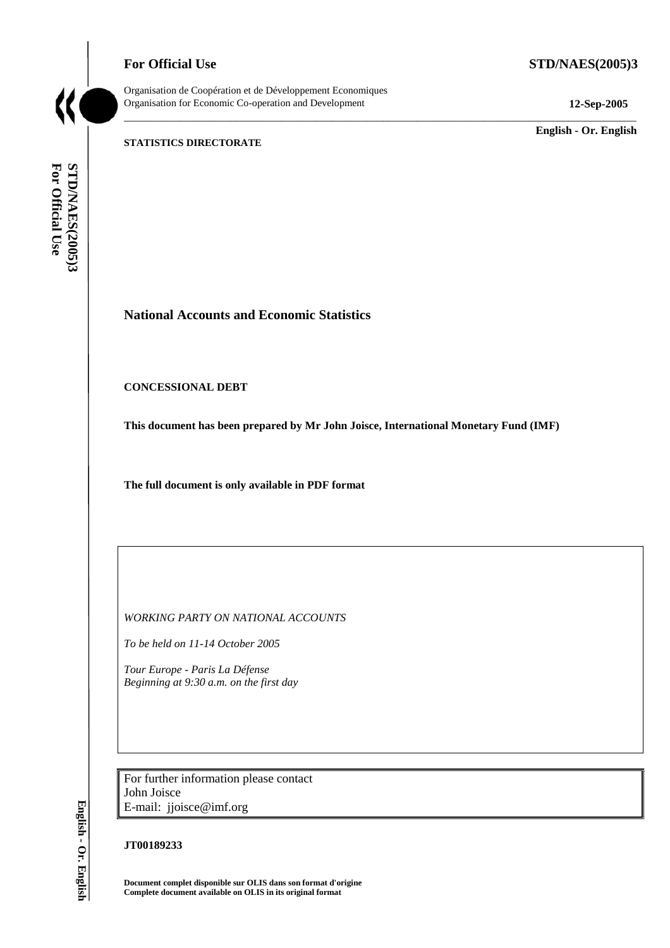**For Official Use STD/NAES(2005)3** 



Organisation de Coopération et de Développement Economiques Organisation for Economic Co-operation and Development **12-Sep-2005** 

\_\_\_\_\_\_\_\_\_\_\_\_\_ **English - Or. English** 

#### **STATISTICS DIRECTORATE**

For Official Use STD/NAES(2005)3 **For Official Use STD/NAES(2005)3**

**National Accounts and Economic Statistics** 

**CONCESSIONAL DEBT** 

**This document has been prepared by Mr John Joisce, International Monetary Fund (IMF)** 

\_\_\_\_\_\_\_\_\_\_\_\_\_\_\_\_\_\_\_\_\_\_\_\_\_\_\_\_\_\_\_\_\_\_\_\_\_\_\_\_\_\_\_\_\_\_\_\_\_\_\_\_\_\_\_\_\_\_\_\_\_\_\_\_\_\_\_\_\_\_\_\_\_\_\_\_\_\_\_\_\_\_\_\_\_\_\_\_\_\_\_

**The full document is only available in PDF format** 

*WORKING PARTY ON NATIONAL ACCOUNTS* 

*To be held on 11-14 October 2005* 

*Tour Europe - Paris La Défense Beginning at 9:30 a.m. on the first day* 

For further information please contact John Joisce E-mail: jjoisce@imf.org

#### **JT00189233**

**Document complet disponible sur OLIS dans son format d'origine Complete document available on OLIS in its original format** 

English - Or. English **English - Or. English**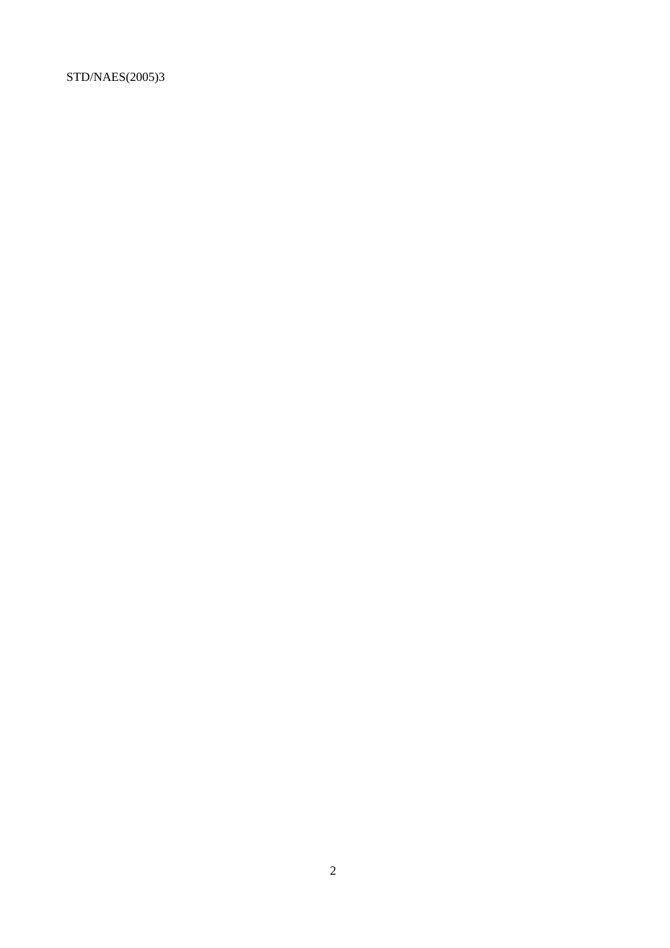STD/NAES(2005)3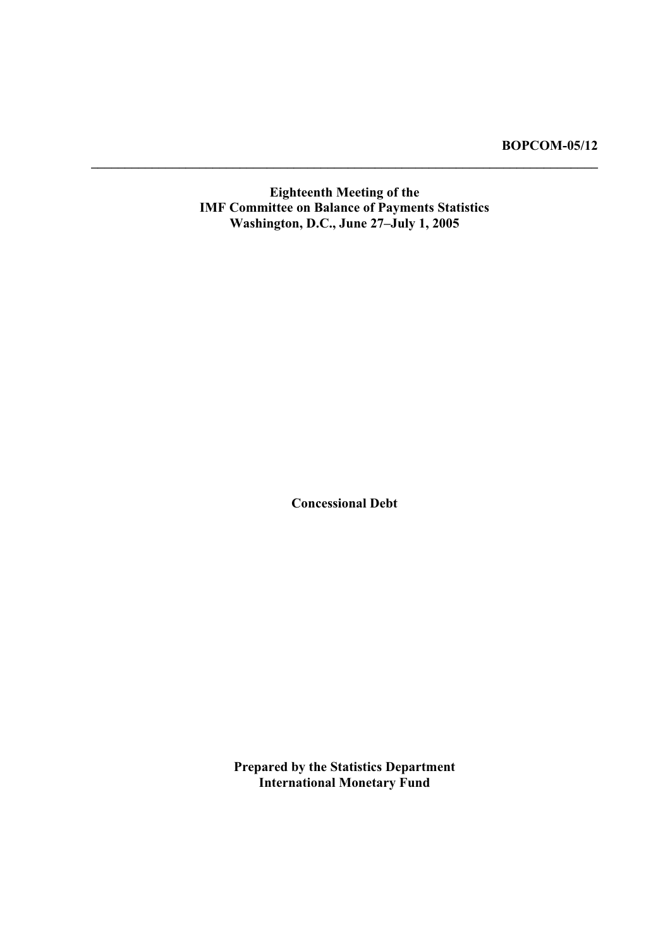# **BOPCOM-05/12**

**Eighteenth Meeting of the IMF Committee on Balance of Payments Statistics Washington, D.C., June 27–July 1, 2005** 

**\_\_\_\_\_\_\_\_\_\_\_\_\_\_\_\_\_\_\_\_\_\_\_\_\_\_\_\_\_\_\_\_\_\_\_\_\_\_\_\_\_\_\_\_\_\_\_\_\_\_\_\_\_\_\_\_\_\_\_\_\_\_\_\_\_\_\_\_\_\_\_\_\_\_\_**

**Concessional Debt** 

**Prepared by the Statistics Department International Monetary Fund**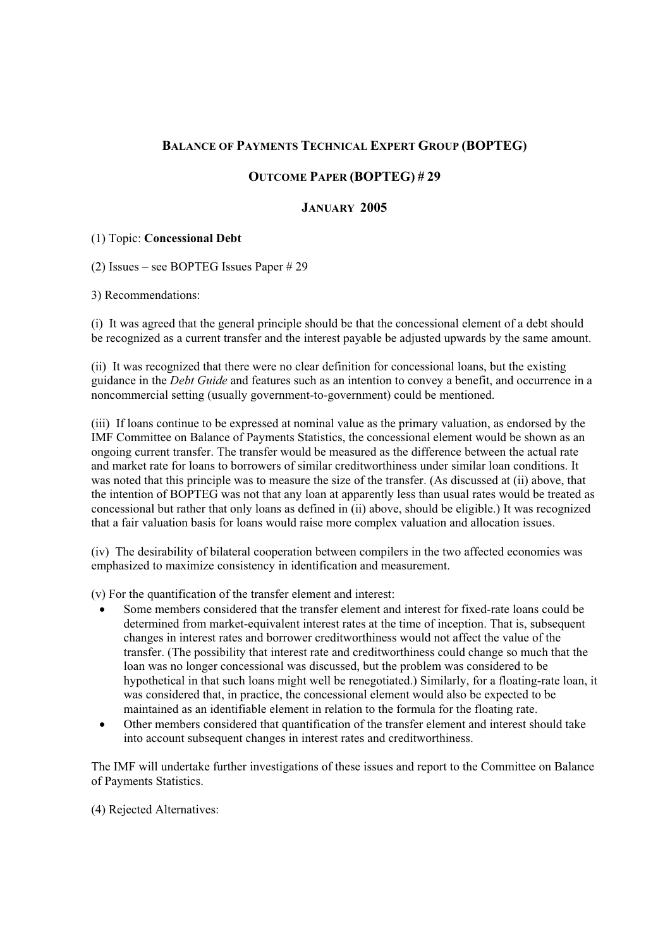# **BALANCE OF PAYMENTS TECHNICAL EXPERT GROUP (BOPTEG)**

# **OUTCOME PAPER (BOPTEG) # 29**

# **JANUARY 2005**

#### (1) Topic: **Concessional Debt**

(2) Issues – see BOPTEG Issues Paper # 29

3) Recommendations:

(i) It was agreed that the general principle should be that the concessional element of a debt should be recognized as a current transfer and the interest payable be adjusted upwards by the same amount.

(ii) It was recognized that there were no clear definition for concessional loans, but the existing guidance in the *Debt Guide* and features such as an intention to convey a benefit, and occurrence in a noncommercial setting (usually government-to-government) could be mentioned.

(iii) If loans continue to be expressed at nominal value as the primary valuation, as endorsed by the IMF Committee on Balance of Payments Statistics, the concessional element would be shown as an ongoing current transfer. The transfer would be measured as the difference between the actual rate and market rate for loans to borrowers of similar creditworthiness under similar loan conditions. It was noted that this principle was to measure the size of the transfer. (As discussed at (ii) above, that the intention of BOPTEG was not that any loan at apparently less than usual rates would be treated as concessional but rather that only loans as defined in (ii) above, should be eligible.) It was recognized that a fair valuation basis for loans would raise more complex valuation and allocation issues.

(iv) The desirability of bilateral cooperation between compilers in the two affected economies was emphasized to maximize consistency in identification and measurement.

(v) For the quantification of the transfer element and interest:

- Some members considered that the transfer element and interest for fixed-rate loans could be determined from market-equivalent interest rates at the time of inception. That is, subsequent changes in interest rates and borrower creditworthiness would not affect the value of the transfer. (The possibility that interest rate and creditworthiness could change so much that the loan was no longer concessional was discussed, but the problem was considered to be hypothetical in that such loans might well be renegotiated.) Similarly, for a floating-rate loan, it was considered that, in practice, the concessional element would also be expected to be maintained as an identifiable element in relation to the formula for the floating rate.
- Other members considered that quantification of the transfer element and interest should take into account subsequent changes in interest rates and creditworthiness.

The IMF will undertake further investigations of these issues and report to the Committee on Balance of Payments Statistics.

(4) Rejected Alternatives: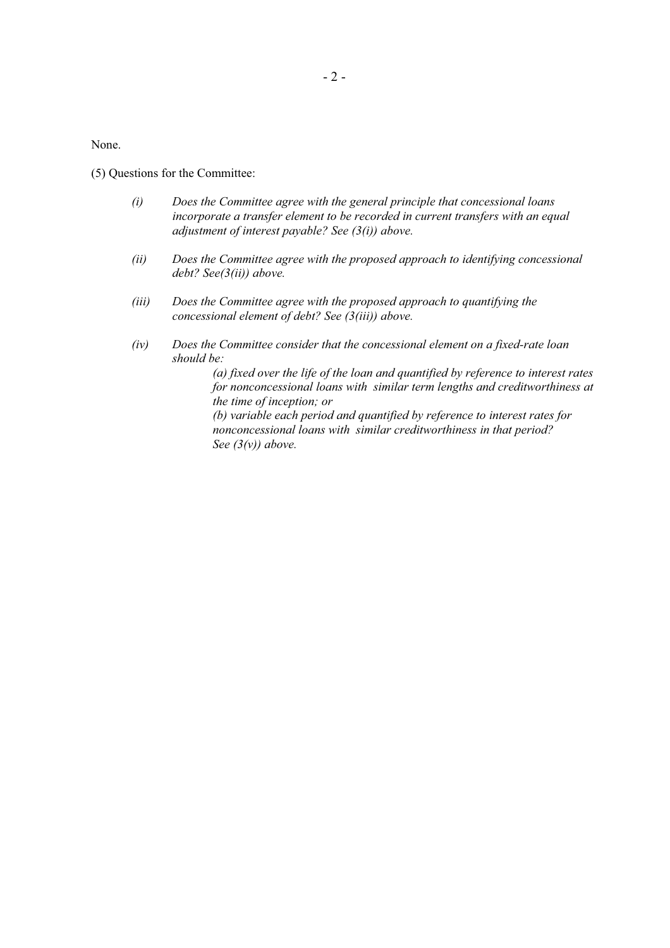None.

(5) Questions for the Committee:

- *(i) Does the Committee agree with the general principle that concessional loans incorporate a transfer element to be recorded in current transfers with an equal adjustment of interest payable? See (3(i)) above.*
- *(ii) Does the Committee agree with the proposed approach to identifying concessional debt? See(3(ii)) above.*
- *(iii) Does the Committee agree with the proposed approach to quantifying the concessional element of debt? See (3(iii)) above.*
- *(iv) Does the Committee consider that the concessional element on a fixed-rate loan should be:*

*(a) fixed over the life of the loan and quantified by reference to interest rates for nonconcessional loans with similar term lengths and creditworthiness at the time of inception; or*

*(b) variable each period and quantified by reference to interest rates for nonconcessional loans with similar creditworthiness in that period? See (3(v)) above.*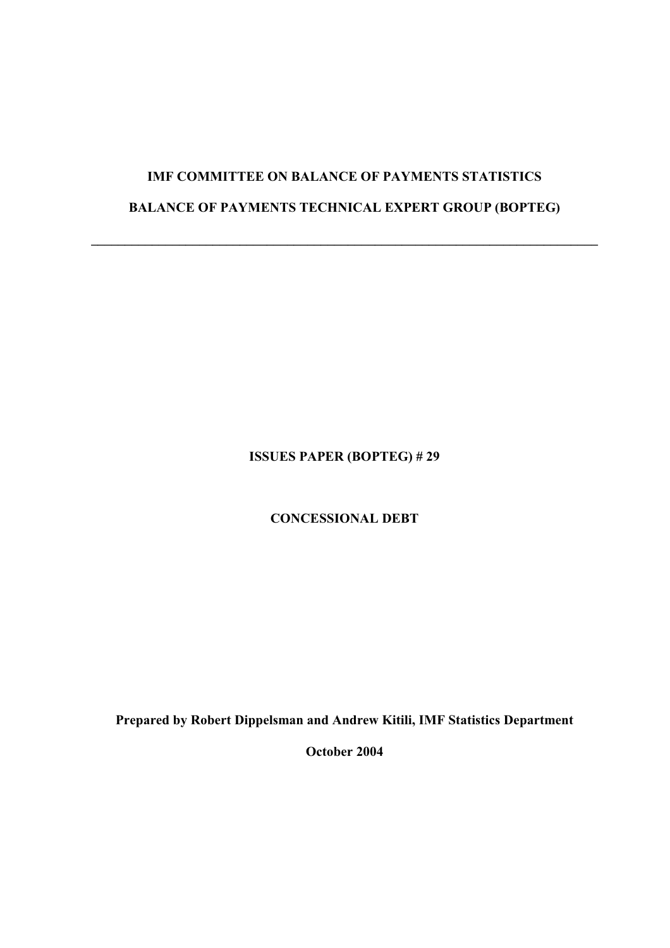# **IMF COMMITTEE ON BALANCE OF PAYMENTS STATISTICS BALANCE OF PAYMENTS TECHNICAL EXPERT GROUP (BOPTEG)**

**\_\_\_\_\_\_\_\_\_\_\_\_\_\_\_\_\_\_\_\_\_\_\_\_\_\_\_\_\_\_\_\_\_\_\_\_\_\_\_\_\_\_\_\_\_\_\_\_\_\_\_\_\_\_\_\_\_\_\_\_\_\_\_\_\_\_\_\_\_\_\_\_\_\_\_**

**ISSUES PAPER (BOPTEG) # 29** 

# **CONCESSIONAL DEBT**

**Prepared by Robert Dippelsman and Andrew Kitili, IMF Statistics Department** 

**October 2004**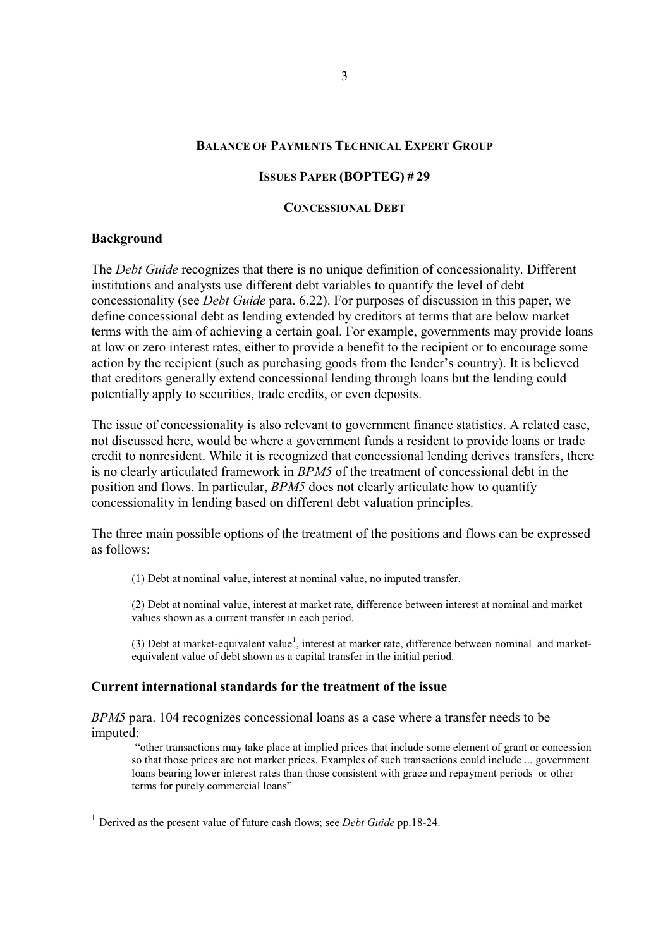### **BALANCE OF PAYMENTS TECHNICAL EXPERT GROUP**

#### **ISSUES PAPER (BOPTEG) # 29**

#### **CONCESSIONAL DEBT**

#### **Background**

The *Debt Guide* recognizes that there is no unique definition of concessionality. Different institutions and analysts use different debt variables to quantify the level of debt concessionality (see *Debt Guide* para. 6.22). For purposes of discussion in this paper, we define concessional debt as lending extended by creditors at terms that are below market terms with the aim of achieving a certain goal. For example, governments may provide loans at low or zero interest rates, either to provide a benefit to the recipient or to encourage some action by the recipient (such as purchasing goods from the lender's country). It is believed that creditors generally extend concessional lending through loans but the lending could potentially apply to securities, trade credits, or even deposits.

The issue of concessionality is also relevant to government finance statistics. A related case, not discussed here, would be where a government funds a resident to provide loans or trade credit to nonresident. While it is recognized that concessional lending derives transfers, there is no clearly articulated framework in *BPM5* of the treatment of concessional debt in the position and flows. In particular, *BPM5* does not clearly articulate how to quantify concessionality in lending based on different debt valuation principles.

The three main possible options of the treatment of the positions and flows can be expressed as follows:

(1) Debt at nominal value, interest at nominal value, no imputed transfer.

(2) Debt at nominal value, interest at market rate, difference between interest at nominal and market values shown as a current transfer in each period.

(3) Debt at market-equivalent value<sup>1</sup>, interest at marker rate, difference between nominal and marketequivalent value of debt shown as a capital transfer in the initial period.

## **Current international standards for the treatment of the issue**

*BPM5* para. 104 recognizes concessional loans as a case where a transfer needs to be imputed:

"other transactions may take place at implied prices that include some element of grant or concession so that those prices are not market prices. Examples of such transactions could include ... government loans bearing lower interest rates than those consistent with grace and repayment periods or other terms for purely commercial loans"

<sup>1</sup> Derived as the present value of future cash flows; see *Debt Guide* pp.18-24.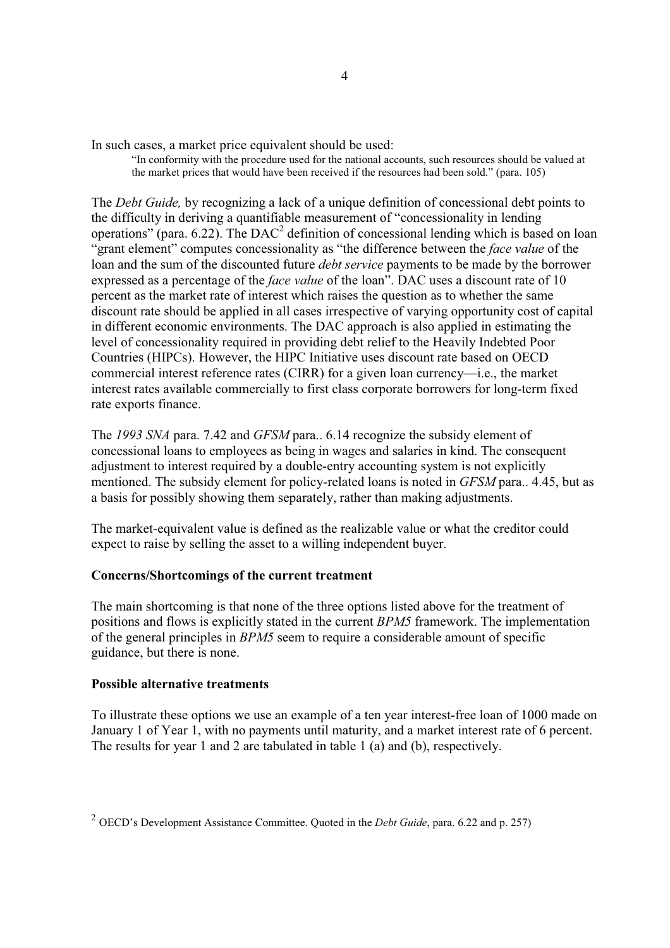In such cases, a market price equivalent should be used:

"In conformity with the procedure used for the national accounts, such resources should be valued at the market prices that would have been received if the resources had been sold." (para. 105)

The *Debt Guide,* by recognizing a lack of a unique definition of concessional debt points to the difficulty in deriving a quantifiable measurement of "concessionality in lending operations" (para. 6.22). The  $DAC^2$  definition of concessional lending which is based on loan "grant element" computes concessionality as "the difference between the *face value* of the loan and the sum of the discounted future *debt service* payments to be made by the borrower expressed as a percentage of the *face value* of the loan". DAC uses a discount rate of 10 percent as the market rate of interest which raises the question as to whether the same discount rate should be applied in all cases irrespective of varying opportunity cost of capital in different economic environments. The DAC approach is also applied in estimating the level of concessionality required in providing debt relief to the Heavily Indebted Poor Countries (HIPCs). However, the HIPC Initiative uses discount rate based on OECD commercial interest reference rates (CIRR) for a given loan currency—i.e., the market interest rates available commercially to first class corporate borrowers for long-term fixed rate exports finance.

The *1993 SNA* para. 7.42 and *GFSM* para.. 6.14 recognize the subsidy element of concessional loans to employees as being in wages and salaries in kind. The consequent adjustment to interest required by a double-entry accounting system is not explicitly mentioned. The subsidy element for policy-related loans is noted in *GFSM* para.. 4.45, but as a basis for possibly showing them separately, rather than making adjustments.

The market-equivalent value is defined as the realizable value or what the creditor could expect to raise by selling the asset to a willing independent buyer.

# **Concerns/Shortcomings of the current treatment**

The main shortcoming is that none of the three options listed above for the treatment of positions and flows is explicitly stated in the current *BPM5* framework. The implementation of the general principles in *BPM5* seem to require a considerable amount of specific guidance, but there is none.

# **Possible alternative treatments**

To illustrate these options we use an example of a ten year interest-free loan of 1000 made on January 1 of Year 1, with no payments until maturity, and a market interest rate of 6 percent. The results for year 1 and 2 are tabulated in table 1 (a) and (b), respectively.

<sup>2</sup> OECD's Development Assistance Committee. Quoted in the *Debt Guide*, para. 6.22 and p. 257)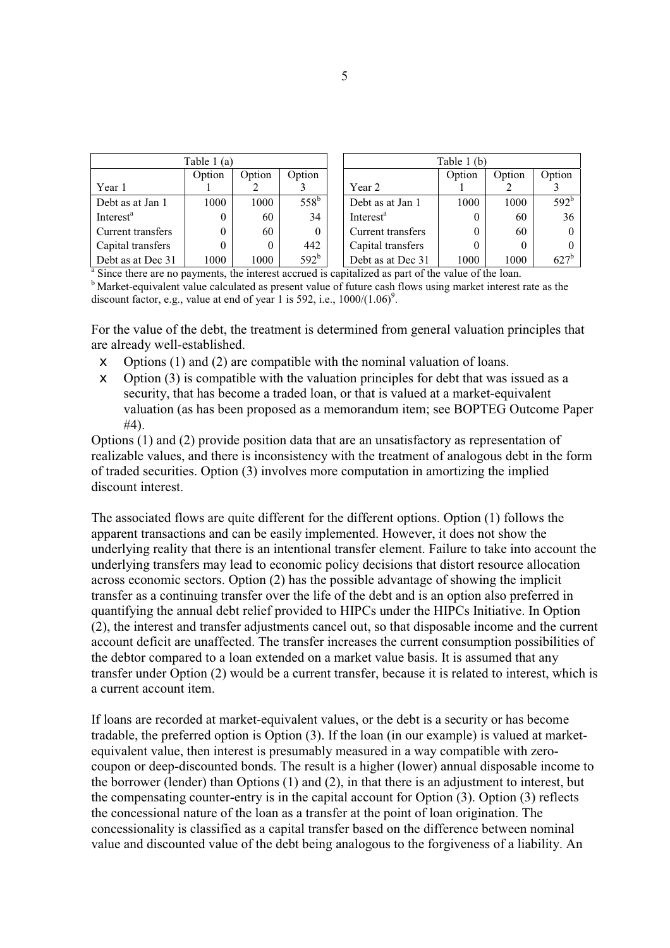| Table $1(a)$          |        |          |               | Table $1(b)$          |        |        |                  |
|-----------------------|--------|----------|---------------|-----------------------|--------|--------|------------------|
|                       | Option | Option   | Option        |                       | Option | Option | Option           |
| Year 1                |        |          |               | Year 2                |        |        |                  |
| Debt as at Jan 1      | 1000   | 1000     | $558^{\rm b}$ | Debt as at Jan 1      | 1000   | 1000   | 592 <sup>b</sup> |
| Interest <sup>a</sup> | 0      | 60       | 34            | Interest <sup>a</sup> |        | 60     | 36               |
| Current transfers     | 0      | 60       |               | Current transfers     |        | 60     | $\Omega$         |
| Capital transfers     |        | $\theta$ | 442           | Capital transfers     |        | 0      | $\theta$         |
| Debt as at Dec 31     | 1000   | 1000     | $592^{\rm b}$ | Debt as at Dec 31     | 1000   | 1000   | $627^{\rm b}$    |

<sup>a</sup> Since there are no payments, the interest accrued is capitalized as part of the value of the loan. b Market-equivalent value calculated as present value of future cash flows using market interest rate as the discount factor, e.g., value at end of year 1 is 592, i.e.,  $1000/(1.06)^9$ .

For the value of the debt, the treatment is determined from general valuation principles that are already well-established.

- $\epsilon$  Options (1) and (2) are compatible with the nominal valuation of loans.
- $\epsilon$  Option (3) is compatible with the valuation principles for debt that was issued as a security, that has become a traded loan, or that is valued at a market-equivalent valuation (as has been proposed as a memorandum item; see BOPTEG Outcome Paper  $#4$ ).

Options (1) and (2) provide position data that are an unsatisfactory as representation of realizable values, and there is inconsistency with the treatment of analogous debt in the form of traded securities. Option (3) involves more computation in amortizing the implied discount interest.

The associated flows are quite different for the different options. Option (1) follows the apparent transactions and can be easily implemented. However, it does not show the underlying reality that there is an intentional transfer element. Failure to take into account the underlying transfers may lead to economic policy decisions that distort resource allocation across economic sectors. Option (2) has the possible advantage of showing the implicit transfer as a continuing transfer over the life of the debt and is an option also preferred in quantifying the annual debt relief provided to HIPCs under the HIPCs Initiative. In Option (2), the interest and transfer adjustments cancel out, so that disposable income and the current account deficit are unaffected. The transfer increases the current consumption possibilities of the debtor compared to a loan extended on a market value basis. It is assumed that any transfer under Option (2) would be a current transfer, because it is related to interest, which is a current account item.

If loans are recorded at market-equivalent values, or the debt is a security or has become tradable, the preferred option is Option (3). If the loan (in our example) is valued at marketequivalent value, then interest is presumably measured in a way compatible with zerocoupon or deep-discounted bonds. The result is a higher (lower) annual disposable income to the borrower (lender) than Options (1) and (2), in that there is an adjustment to interest, but the compensating counter-entry is in the capital account for Option (3). Option (3) reflects the concessional nature of the loan as a transfer at the point of loan origination. The concessionality is classified as a capital transfer based on the difference between nominal value and discounted value of the debt being analogous to the forgiveness of a liability. An